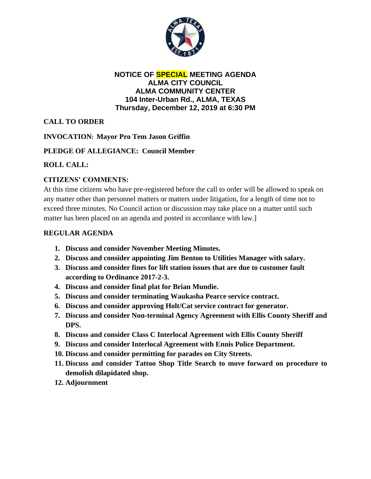

#### **NOTICE OF SPECIAL MEETING AGENDA ALMA CITY COUNCIL ALMA COMMUNITY CENTER 104 Inter-Urban Rd., ALMA, TEXAS Thursday, December 12, 2019 at 6:30 PM**

# **CALL TO ORDER**

## **INVOCATION: Mayor Pro Tem Jason Griffin**

## **PLEDGE OF ALLEGIANCE: Council Member**

# **ROLL CALL:**

# **CITIZENS' COMMENTS:**

At this time citizens who have pre-registered before the call to order will be allowed to speak on any matter other than personnel matters or matters under litigation, for a length of time not to exceed three minutes. No Council action or discussion may take place on a matter until such matter has been placed on an agenda and posted in accordance with law.]

## **REGULAR AGENDA**

- **1. Discuss and consider November Meeting Minutes.**
- **2. Discuss and consider appointing Jim Benton to Utilities Manager with salary.**
- **3. Discuss and consider fines for lift station issues that are due to customer fault according to Ordinance 2017-2-3.**
- **4. Discuss and consider final plat for Brian Mundie.**
- **5. Discuss and consider terminating Waukasha Pearce service contract.**
- **6. Discuss and consider approving Holt/Cat service contract for generator.**
- **7. Discuss and consider Non-terminal Agency Agreement with Ellis County Sheriff and DPS.**
- **8. Discuss and consider Class C Interlocal Agreement with Ellis County Sheriff**
- **9. Discuss and consider Interlocal Agreement with Ennis Police Department.**
- **10. Discuss and consider permitting for parades on City Streets.**
- **11. Discuss and consider Tattoo Shop Title Search to move forward on procedure to demolish dilapidated shop.**
- **12. Adjournment**